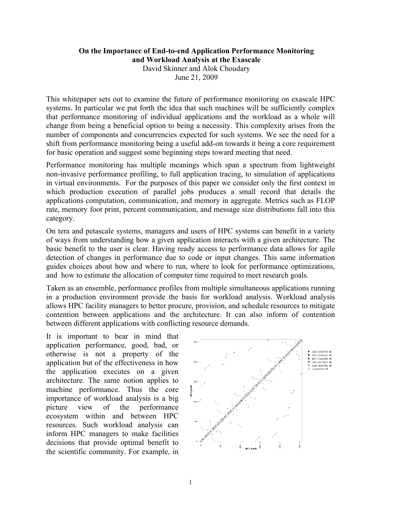## **On the Importance of End-to-end Application Performance Monitoring and Workload Analysis at the Exascale**

David Skinner and Alok Choudary June 21, 2009

This whitepaper sets out to examine the future of performance monitoring on exascale HPC systems. In particular we put forth the idea that such machines will be sufficiently complex that performance monitoring of individual applications and the workload as a whole will change from being a beneficial option to being a necessity. This complexity arises from the number of components and concurrencies expected for such systems. We see the need for a shift from performance monitoring being a useful add-on towards it being a core requirement for basic operation and suggest some beginning steps toward meeting that need.

Performance monitoring has multiple meanings which span a spectrum from lightweight non-invasive performance profiling, to full application tracing, to simulation of applications in virtual environments. For the purposes of this paper we consider only the first context in which production execution of parallel jobs produces a small record that details the applications computation, communication, and memory in aggregate. Metrics such as FLOP rate, memory foot print, percent communication, and message size distributions fall into this category.

On tera and petascale systems, managers and users of HPC systems can benefit in a variety of ways from understanding how a given application interacts with a given architecture. The basic benefit to the user is clear. Having ready access to performance data allows for agile detection of changes in performance due to code or input changes. This same information guides choices about how and where to run, where to look for performance optimizations, and how to estimate the allocation of computer time required to meet research goals.

Taken as an ensemble, performance profiles from multiple simultaneous applications running in a production environment provide the basis for workload analysis. Workload analysis allows HPC facility managers to better procure, provision, and schedule resources to mitigate contention between applications and the architecture. It can also inform of contention between different applications with conflicting resource demands.

It is important to bear in mind that application performance, good, bad, or otherwise is not a property of the application but of the effectiveness in how the application executes on a given architecture. The same notion applies to machine performance. Thus the core importance of workload analysis is a big picture view of the performance ecosystem within and between HPC resources. Such workload analysis can inform HPC managers to make facilities decisions that provide optimal benefit to the scientific community. For example, in

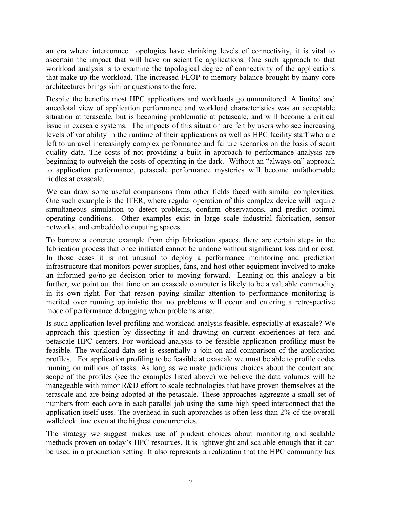an era where interconnect topologies have shrinking levels of connectivity, it is vital to ascertain the impact that will have on scientific applications. One such approach to that workload analysis is to examine the topological degree of connectivity of the applications that make up the workload. The increased FLOP to memory balance brought by many-core architectures brings similar questions to the fore.

Despite the benefits most HPC applications and workloads go unmonitored. A limited and anecdotal view of application performance and workload characteristics was an acceptable situation at terascale, but is becoming problematic at petascale, and will become a critical issue in exascale systems. The impacts of this situation are felt by users who see increasing levels of variability in the runtime of their applications as well as HPC facility staff who are left to unravel increasingly complex performance and failure scenarios on the basis of scant quality data. The costs of not providing a built in approach to performance analysis are beginning to outweigh the costs of operating in the dark. Without an "always on" approach to application performance, petascale performance mysteries will become unfathomable riddles at exascale.

We can draw some useful comparisons from other fields faced with similar complexities. One such example is the ITER, where regular operation of this complex device will require simultaneous simulation to detect problems, confirm observations, and predict optimal operating conditions. Other examples exist in large scale industrial fabrication, sensor networks, and embedded computing spaces.

To borrow a concrete example from chip fabrication spaces, there are certain steps in the fabrication process that once initiated cannot be undone without significant loss and or cost. In those cases it is not unusual to deploy a performance monitoring and prediction infrastructure that monitors power supplies, fans, and host other equipment involved to make an informed go/no-go decision prior to moving forward. Leaning on this analogy a bit further, we point out that time on an exascale computer is likely to be a valuable commodity in its own right. For that reason paying similar attention to performance monitoring is merited over running optimistic that no problems will occur and entering a retrospective mode of performance debugging when problems arise.

Is such application level profiling and workload analysis feasible, especially at exascale? We approach this question by dissecting it and drawing on current experiences at tera and petascale HPC centers. For workload analysis to be feasible application profiling must be feasible. The workload data set is essentially a join on and comparison of the application profiles. For application profiling to be feasible at exascale we must be able to profile codes running on millions of tasks. As long as we make judicious choices about the content and scope of the profiles (see the examples listed above) we believe the data volumes will be manageable with minor R&D effort to scale technologies that have proven themselves at the terascale and are being adopted at the petascale. These approaches aggregate a small set of numbers from each core in each parallel job using the same high-speed interconnect that the application itself uses. The overhead in such approaches is often less than 2% of the overall wallclock time even at the highest concurrencies.

The strategy we suggest makes use of prudent choices about monitoring and scalable methods proven on today's HPC resources. It is lightweight and scalable enough that it can be used in a production setting. It also represents a realization that the HPC community has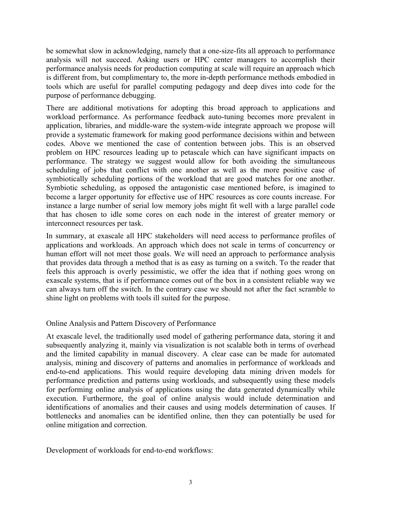be somewhat slow in acknowledging, namely that a one-size-fits all approach to performance analysis will not succeed. Asking users or HPC center managers to accomplish their performance analysis needs for production computing at scale will require an approach which is different from, but complimentary to, the more in-depth performance methods embodied in tools which are useful for parallel computing pedagogy and deep dives into code for the purpose of performance debugging.

There are additional motivations for adopting this broad approach to applications and workload performance. As performance feedback auto-tuning becomes more prevalent in application, libraries, and middle-ware the system-wide integrate approach we propose will provide a systematic framework for making good performance decisions within and between codes. Above we mentioned the case of contention between jobs. This is an observed problem on HPC resources leading up to petascale which can have significant impacts on performance. The strategy we suggest would allow for both avoiding the simultaneous scheduling of jobs that conflict with one another as well as the more positive case of symbiotically scheduling portions of the workload that are good matches for one another. Symbiotic scheduling, as opposed the antagonistic case mentioned before, is imagined to become a larger opportunity for effective use of HPC resources as core counts increase. For instance a large number of serial low memory jobs might fit well with a large parallel code that has chosen to idle some cores on each node in the interest of greater memory or interconnect resources per task.

In summary, at exascale all HPC stakeholders will need access to performance profiles of applications and workloads. An approach which does not scale in terms of concurrency or human effort will not meet those goals. We will need an approach to performance analysis that provides data through a method that is as easy as turning on a switch. To the reader that feels this approach is overly pessimistic, we offer the idea that if nothing goes wrong on exascale systems, that is if performance comes out of the box in a consistent reliable way we can always turn off the switch. In the contrary case we should not after the fact scramble to shine light on problems with tools ill suited for the purpose.

## Online Analysis and Pattern Discovery of Performance

At exascale level, the traditionally used model of gathering performance data, storing it and subsequently analyzing it, mainly via visualization is not scalable both in terms of overhead and the limited capability in manual discovery. A clear case can be made for automated analysis, mining and discovery of patterns and anomalies in performance of workloads and end-to-end applications. This would require developing data mining driven models for performance prediction and patterns using workloads, and subsequently using these models for performing online analysis of applications using the data generated dynamically while execution. Furthermore, the goal of online analysis would include determination and identifications of anomalies and their causes and using models determination of causes. If bottlenecks and anomalies can be identified online, then they can potentially be used for online mitigation and correction.

Development of workloads for end-to-end workflows: